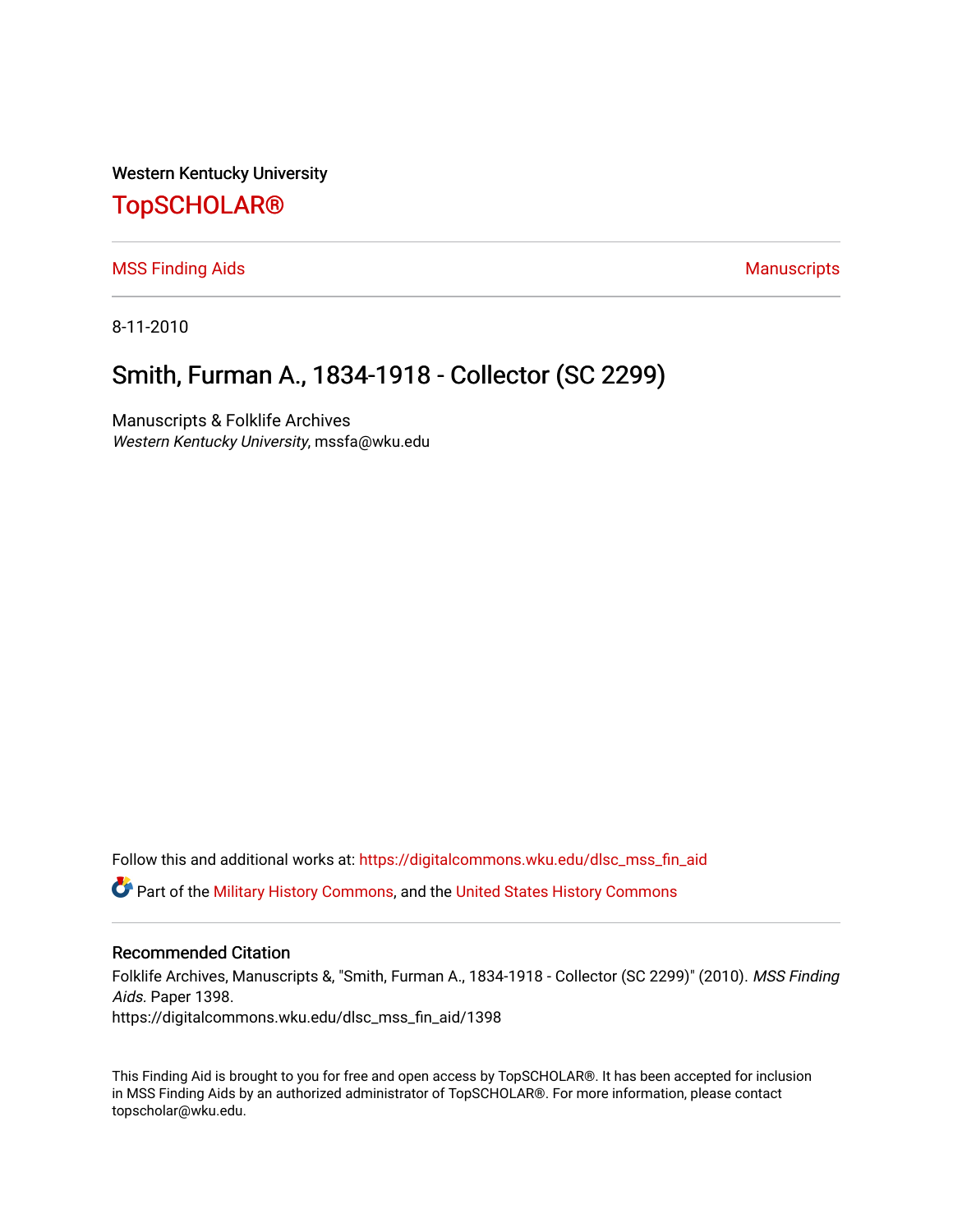Western Kentucky University

# [TopSCHOLAR®](https://digitalcommons.wku.edu/)

[MSS Finding Aids](https://digitalcommons.wku.edu/dlsc_mss_fin_aid) **Manuscripts** [Manuscripts](https://digitalcommons.wku.edu/dlsc_mss) **Manuscripts** 

8-11-2010

## Smith, Furman A., 1834-1918 - Collector (SC 2299)

Manuscripts & Folklife Archives Western Kentucky University, mssfa@wku.edu

Follow this and additional works at: [https://digitalcommons.wku.edu/dlsc\\_mss\\_fin\\_aid](https://digitalcommons.wku.edu/dlsc_mss_fin_aid?utm_source=digitalcommons.wku.edu%2Fdlsc_mss_fin_aid%2F1398&utm_medium=PDF&utm_campaign=PDFCoverPages)  Part of the [Military History Commons](http://network.bepress.com/hgg/discipline/504?utm_source=digitalcommons.wku.edu%2Fdlsc_mss_fin_aid%2F1398&utm_medium=PDF&utm_campaign=PDFCoverPages), and the [United States History Commons](http://network.bepress.com/hgg/discipline/495?utm_source=digitalcommons.wku.edu%2Fdlsc_mss_fin_aid%2F1398&utm_medium=PDF&utm_campaign=PDFCoverPages)

#### Recommended Citation

Folklife Archives, Manuscripts &, "Smith, Furman A., 1834-1918 - Collector (SC 2299)" (2010). MSS Finding Aids. Paper 1398. https://digitalcommons.wku.edu/dlsc\_mss\_fin\_aid/1398

This Finding Aid is brought to you for free and open access by TopSCHOLAR®. It has been accepted for inclusion in MSS Finding Aids by an authorized administrator of TopSCHOLAR®. For more information, please contact topscholar@wku.edu.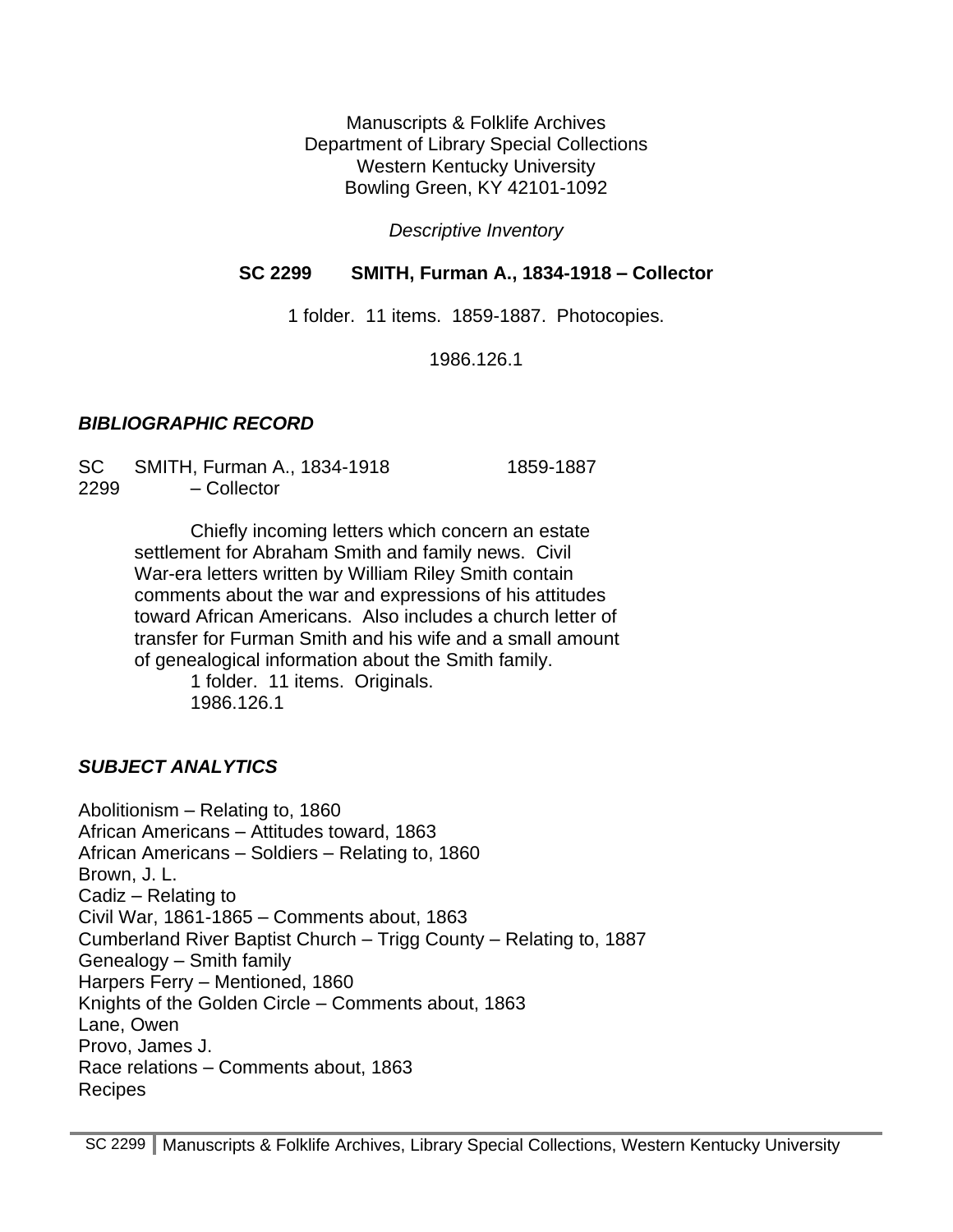Manuscripts & Folklife Archives Department of Library Special Collections Western Kentucky University Bowling Green, KY 42101-1092

*Descriptive Inventory*

#### **SC 2299 SMITH, Furman A., 1834-1918 – Collector**

1 folder. 11 items. 1859-1887. Photocopies.

1986.126.1

#### *BIBLIOGRAPHIC RECORD*

SC SMITH, Furman A., 1834-1918 1859-1887 2299 – Collector

> Chiefly incoming letters which concern an estate settlement for Abraham Smith and family news. Civil War-era letters written by William Riley Smith contain comments about the war and expressions of his attitudes toward African Americans. Also includes a church letter of transfer for Furman Smith and his wife and a small amount of genealogical information about the Smith family.

> > 1 folder. 11 items. Originals. 1986.126.1

### *SUBJECT ANALYTICS*

Abolitionism – Relating to, 1860 African Americans – Attitudes toward, 1863 African Americans – Soldiers – Relating to, 1860 Brown, J. L. Cadiz – Relating to Civil War, 1861-1865 – Comments about, 1863 Cumberland River Baptist Church – Trigg County – Relating to, 1887 Genealogy – Smith family Harpers Ferry – Mentioned, 1860 Knights of the Golden Circle – Comments about, 1863 Lane, Owen Provo, James J. Race relations – Comments about, 1863 Recipes